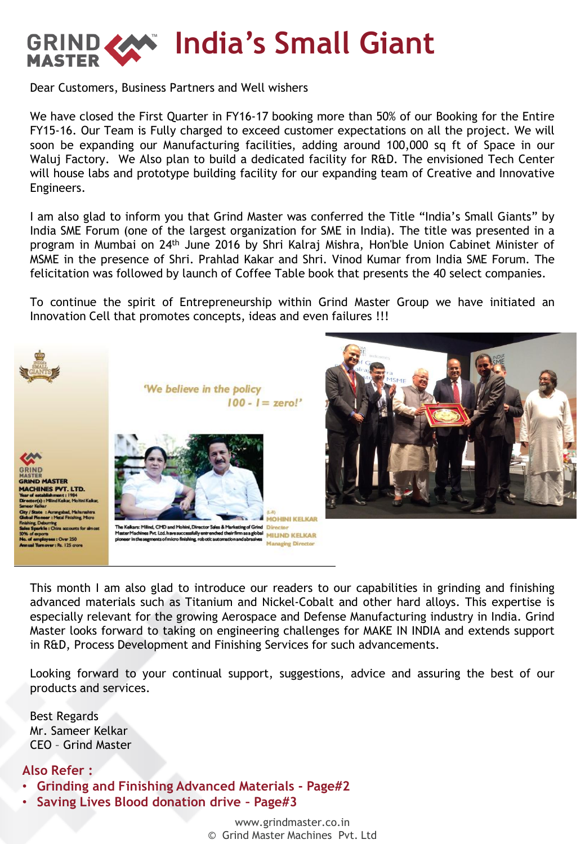

Dear Customers, Business Partners and Well wishers

We have closed the First Quarter in FY16-17 booking more than 50% of our Booking for the Entire FY15-16. Our Team is Fully charged to exceed customer expectations on all the project. We will soon be expanding our Manufacturing facilities, adding around 100,000 sq ft of Space in our Waluj Factory. We Also plan to build a dedicated facility for R&D. The envisioned Tech Center will house labs and prototype building facility for our expanding team of Creative and Innovative Engineers.

I am also glad to inform you that Grind Master was conferred the Title "India's Small Giants" by India SME Forum (one of the largest organization for SME in India). The title was presented in a program in Mumbai on 24th June 2016 by Shri Kalraj Mishra, Hon'ble Union Cabinet Minister of MSME in the presence of Shri. Prahlad Kakar and Shri. Vinod Kumar from India SME Forum. The felicitation was followed by launch of Coffee Table book that presents the 40 select companies.

To continue the spirit of Entrepreneurship within Grind Master Group we have initiated an Innovation Cell that promotes concepts, ideas and even failures !!!



This month I am also glad to introduce our readers to our capabilities in grinding and finishing advanced materials such as Titanium and Nickel-Cobalt and other hard alloys. This expertise is especially relevant for the growing Aerospace and Defense Manufacturing industry in India. Grind Master looks forward to taking on engineering challenges for MAKE IN INDIA and extends support in R&D, Process Development and Finishing Services for such advancements.

Looking forward to your continual support, suggestions, advice and assuring the best of our products and services.

Best Regards Mr. Sameer Kelkar CEO – Grind Master

#### **Also Refer :**

- **Grinding and Finishing Advanced Materials - Page#2**
- **Saving Lives Blood donation drive – Page#3**

www.grindmaster.co.in © Grind Master Machines Pvt. Ltd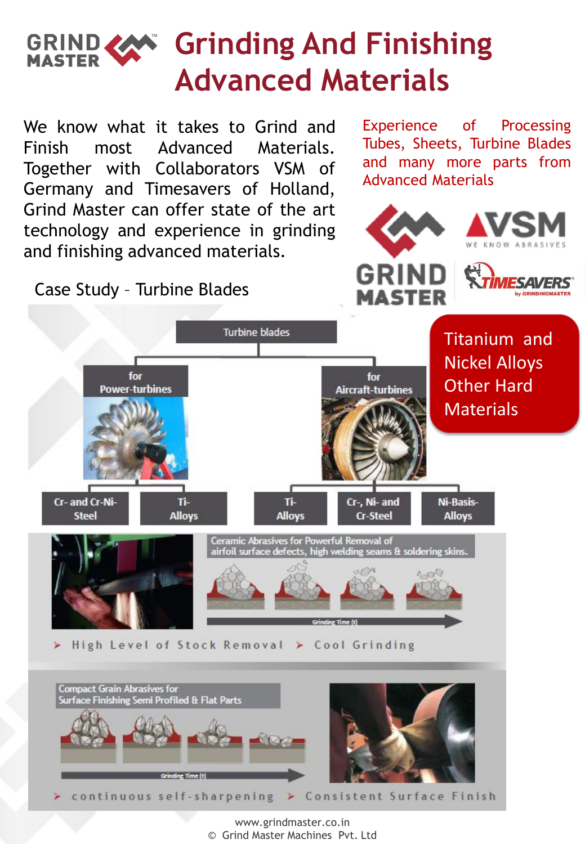# GRIND **CAN** Grinding And Finishing **Advanced Materials**

We know what it takes to Grind and Finish most Advanced Materials. Together with Collaborators VSM of Germany and Timesavers of Holland, Grind Master can offer state of the art technology and experience in grinding and finishing advanced materials.

Grinding Time (t)

Experience of Processing Tubes, Sheets, Turbine Blades and many more parts from Advanced Materials



Case Study – Turbine Blades



www.grindmaster.co.in © Grind Master Machines Pvt. Ltd

continuous self-sharpening > Consistent Surface Finish